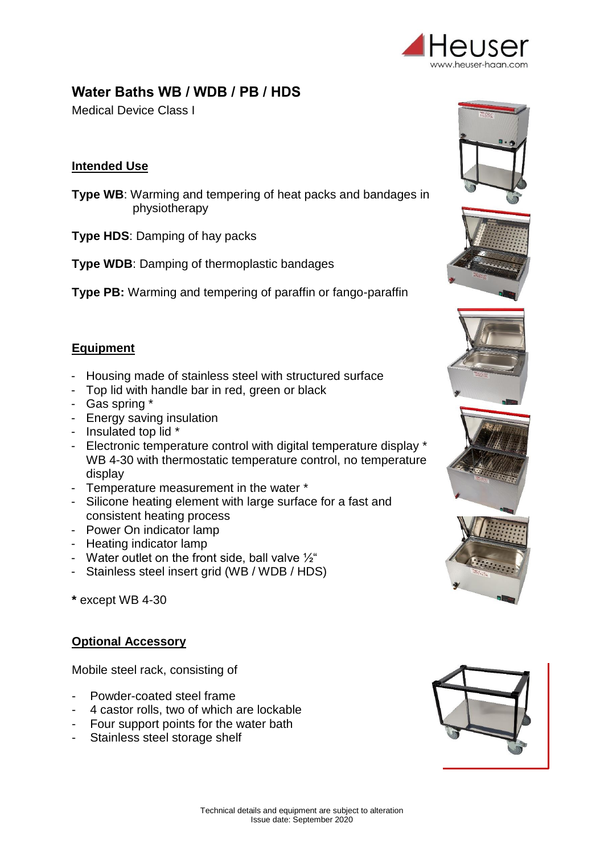

# **Water Baths WB / WDB / PB / HDS**

Medical Device Class I

### **Intended Use**

**Type WB**: Warming and tempering of heat packs and bandages in physiotherapy

**Type HDS**: Damping of hay packs

**Type WDB: Damping of thermoplastic bandages** 

**Type PB:** Warming and tempering of paraffin or fango-paraffin

#### **Equipment**

- Housing made of stainless steel with structured surface
- Top lid with handle bar in red, green or black
- Gas spring \*
- Energy saving insulation
- Insulated top lid \*
- Electronic temperature control with digital temperature display \* WB 4-30 with thermostatic temperature control, no temperature display
- Temperature measurement in the water \*
- Silicone heating element with large surface for a fast and consistent heating process
- Power On indicator lamp
- Heating indicator lamp
- Water outlet on the front side, ball valve  $\frac{1}{2}$ "
- Stainless steel insert grid (WB / WDB / HDS)
- **\*** except WB 4-30

#### **Optional Accessory**

Mobile steel rack, consisting of

- Powder-coated steel frame
- 4 castor rolls, two of which are lockable
- Four support points for the water bath
- Stainless steel storage shelf